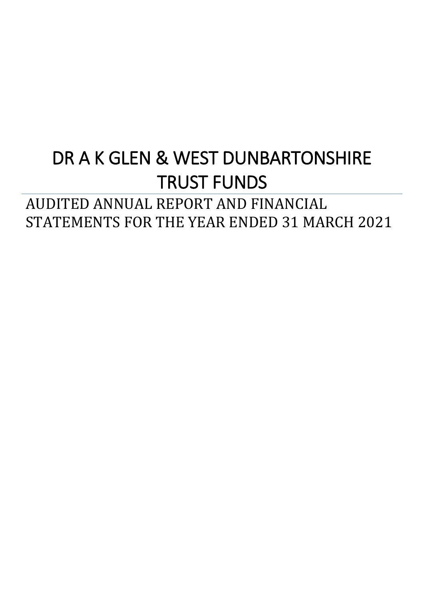# DR A K GLEN & WEST DUNBARTONSHIRE TRUST FUNDS

# AUDITED ANNUAL REPORT AND FINANCIAL STATEMENTS FOR THE YEAR ENDED 31 MARCH 2021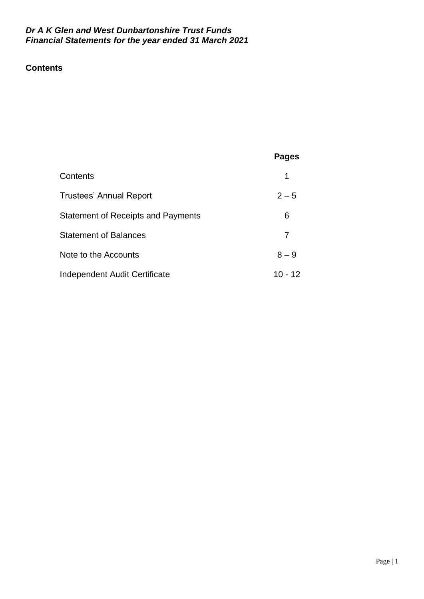# **Contents**

# **Pages**

| Contents                                  |           |
|-------------------------------------------|-----------|
| Trustees' Annual Report                   | $2 - 5$   |
| <b>Statement of Receipts and Payments</b> | 6         |
| <b>Statement of Balances</b>              |           |
| Note to the Accounts                      | $8 - 9$   |
| Independent Audit Certificate             | $10 - 12$ |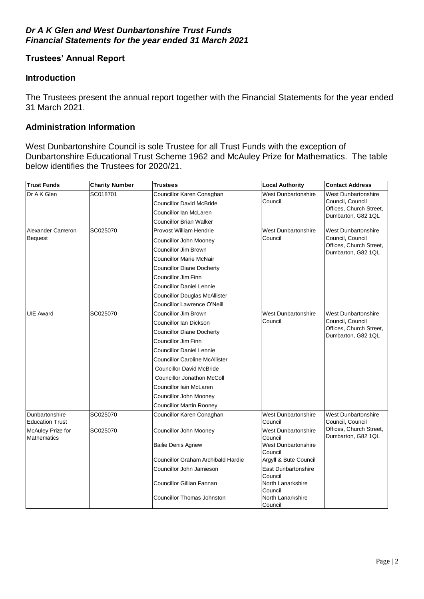# **Trustees' Annual Report**

#### **Introduction**

The Trustees present the annual report together with the Financial Statements for the year ended 31 March 2021.

#### **Administration Information**

West Dunbartonshire Council is sole Trustee for all Trust Funds with the exception of Dunbartonshire Educational Trust Scheme 1962 and McAuley Prize for Mathematics. The table below identifies the Trustees for 2020/21.

| <b>Trust Funds</b>                       | <b>Charity Number</b> | <b>Trustees</b>                       | <b>Local Authority</b>                  | <b>Contact Address</b>                         |  |  |
|------------------------------------------|-----------------------|---------------------------------------|-----------------------------------------|------------------------------------------------|--|--|
| Dr A K Glen                              | SC018701              | Councillor Karen Conaghan             | <b>West Dunbartonshire</b>              | West Dunbartonshire                            |  |  |
|                                          |                       | <b>Councillor David McBride</b>       | Council                                 | Council, Council                               |  |  |
|                                          |                       | Councillor lan McLaren                |                                         | Offices, Church Street,<br>Dumbarton, G82 1QL  |  |  |
|                                          |                       | Councillor Brian Walker               |                                         |                                                |  |  |
| Alexander Cameron                        | SC025070              | Provost William Hendrie               | <b>West Dunbartonshire</b>              | <b>West Dunbartonshire</b>                     |  |  |
| <b>Bequest</b>                           |                       | Councillor John Mooney                | Council                                 | Council, Council                               |  |  |
|                                          |                       | Councillor Jim Brown                  |                                         | Offices, Church Street,<br>Dumbarton, G82 1QL  |  |  |
|                                          |                       | Councillor Marie McNair               |                                         |                                                |  |  |
|                                          |                       | <b>Councillor Diane Docherty</b>      |                                         |                                                |  |  |
|                                          |                       | Councillor Jim Finn                   |                                         |                                                |  |  |
|                                          |                       | <b>Councillor Daniel Lennie</b>       |                                         |                                                |  |  |
|                                          |                       | <b>Councillor Douglas McAllister</b>  |                                         |                                                |  |  |
|                                          |                       | Councillor Lawrence O'Neill           |                                         |                                                |  |  |
| <b>UIE Award</b>                         | SC025070              | Councillor Jim Brown                  | <b>West Dunbartonshire</b>              | <b>West Dunbartonshire</b>                     |  |  |
|                                          |                       | Councillor lan Dickson                | Council                                 | Council, Council                               |  |  |
|                                          |                       | <b>Councillor Diane Docherty</b>      |                                         | Offices, Church Street,<br>Dumbarton, G82 1QL  |  |  |
|                                          |                       | Councillor Jim Finn                   |                                         |                                                |  |  |
|                                          |                       | <b>Councillor Daniel Lennie</b>       |                                         |                                                |  |  |
|                                          |                       | <b>Councillor Caroline McAllister</b> |                                         |                                                |  |  |
|                                          |                       | <b>Councillor David McBride</b>       |                                         |                                                |  |  |
|                                          |                       | <b>Councillor Jonathon McColl</b>     |                                         |                                                |  |  |
|                                          |                       | Councillor lain McLaren               |                                         |                                                |  |  |
|                                          |                       | Councillor John Mooney                |                                         |                                                |  |  |
|                                          |                       | <b>Councillor Martin Rooney</b>       |                                         |                                                |  |  |
| Dunbartonshire<br><b>Education Trust</b> | SC025070              | Councillor Karen Conaghan             | West Dunbartonshire<br>Council          | <b>West Dunbartonshire</b><br>Council, Council |  |  |
| McAuley Prize for<br><b>Mathematics</b>  | SC025070              | Councillor John Mooney                | <b>West Dunbartonshire</b><br>Council   | Offices, Church Street,<br>Dumbarton, G82 1QL  |  |  |
|                                          |                       | Bailie Denis Agnew                    | West Dunbartonshire<br>Council          |                                                |  |  |
|                                          |                       | Councillor Graham Archibald Hardie    | Argyll & Bute Council                   |                                                |  |  |
|                                          |                       | Councillor John Jamieson              | <b>East Dunbartonshire</b>              |                                                |  |  |
|                                          |                       | Councillor Gillian Fannan             | Council<br>North Lanarkshire<br>Council |                                                |  |  |
|                                          |                       | <b>Councillor Thomas Johnston</b>     | North Lanarkshire<br>Council            |                                                |  |  |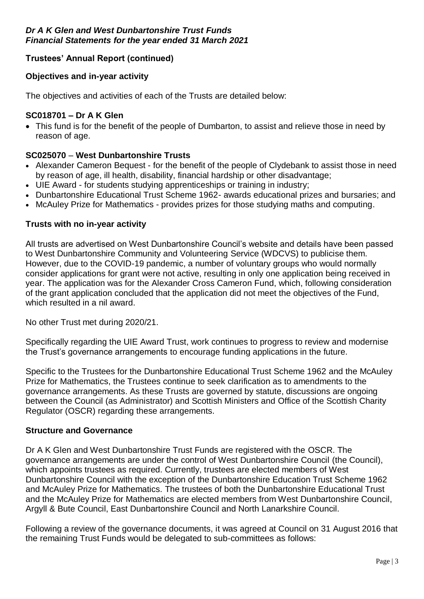# **Trustees' Annual Report (continued)**

# **Objectives and in-year activity**

The objectives and activities of each of the Trusts are detailed below:

# **SC018701 – Dr A K Glen**

 This fund is for the benefit of the people of Dumbarton, to assist and relieve those in need by reason of age.

# **SC025070** – **West Dunbartonshire Trusts**

- Alexander Cameron Bequest for the benefit of the people of Clydebank to assist those in need by reason of age, ill health, disability, financial hardship or other disadvantage;
- UIE Award for students studying apprenticeships or training in industry;
- Dunbartonshire Educational Trust Scheme 1962- awards educational prizes and bursaries; and
- McAuley Prize for Mathematics provides prizes for those studying maths and computing.

# **Trusts with no in-year activity**

All trusts are advertised on West Dunbartonshire Council's website and details have been passed to West Dunbartonshire Community and Volunteering Service (WDCVS) to publicise them. However, due to the COVID-19 pandemic, a number of voluntary groups who would normally consider applications for grant were not active, resulting in only one application being received in year. The application was for the Alexander Cross Cameron Fund, which, following consideration of the grant application concluded that the application did not meet the objectives of the Fund, which resulted in a nil award.

No other Trust met during 2020/21.

Specifically regarding the UIE Award Trust, work continues to progress to review and modernise the Trust's governance arrangements to encourage funding applications in the future.

Specific to the Trustees for the Dunbartonshire Educational Trust Scheme 1962 and the McAuley Prize for Mathematics, the Trustees continue to seek clarification as to amendments to the governance arrangements. As these Trusts are governed by statute, discussions are ongoing between the Council (as Administrator) and Scottish Ministers and Office of the Scottish Charity Regulator (OSCR) regarding these arrangements.

#### **Structure and Governance**

Dr A K Glen and West Dunbartonshire Trust Funds are registered with the OSCR. The governance arrangements are under the control of West Dunbartonshire Council (the Council), which appoints trustees as required. Currently, trustees are elected members of West Dunbartonshire Council with the exception of the Dunbartonshire Education Trust Scheme 1962 and McAuley Prize for Mathematics. The trustees of both the Dunbartonshire Educational Trust and the McAuley Prize for Mathematics are elected members from West Dunbartonshire Council, Argyll & Bute Council, East Dunbartonshire Council and North Lanarkshire Council.

Following a review of the governance documents, it was agreed at Council on 31 August 2016 that the remaining Trust Funds would be delegated to sub-committees as follows: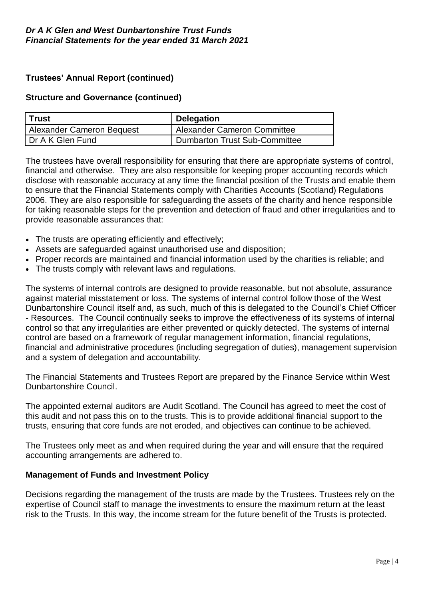# **Trustees' Annual Report (continued)**

#### **Structure and Governance (continued)**

| l Trust                   | <b>Delegation</b>                  |
|---------------------------|------------------------------------|
| Alexander Cameron Bequest | <b>Alexander Cameron Committee</b> |
| I Dr A K Glen Fund        | Dumbarton Trust Sub-Committee      |

The trustees have overall responsibility for ensuring that there are appropriate systems of control, financial and otherwise. They are also responsible for keeping proper accounting records which disclose with reasonable accuracy at any time the financial position of the Trusts and enable them to ensure that the Financial Statements comply with Charities Accounts (Scotland) Regulations 2006. They are also responsible for safeguarding the assets of the charity and hence responsible for taking reasonable steps for the prevention and detection of fraud and other irregularities and to provide reasonable assurances that:

- The trusts are operating efficiently and effectively;
- Assets are safeguarded against unauthorised use and disposition;
- Proper records are maintained and financial information used by the charities is reliable; and
- The trusts comply with relevant laws and regulations.

The systems of internal controls are designed to provide reasonable, but not absolute, assurance against material misstatement or loss. The systems of internal control follow those of the West Dunbartonshire Council itself and, as such, much of this is delegated to the Council's Chief Officer - Resources. The Council continually seeks to improve the effectiveness of its systems of internal control so that any irregularities are either prevented or quickly detected. The systems of internal control are based on a framework of regular management information, financial regulations, financial and administrative procedures (including segregation of duties), management supervision and a system of delegation and accountability.

The Financial Statements and Trustees Report are prepared by the Finance Service within West Dunbartonshire Council.

The appointed external auditors are Audit Scotland. The Council has agreed to meet the cost of this audit and not pass this on to the trusts. This is to provide additional financial support to the trusts, ensuring that core funds are not eroded, and objectives can continue to be achieved.

The Trustees only meet as and when required during the year and will ensure that the required accounting arrangements are adhered to.

#### **Management of Funds and Investment Policy**

Decisions regarding the management of the trusts are made by the Trustees. Trustees rely on the expertise of Council staff to manage the investments to ensure the maximum return at the least risk to the Trusts. In this way, the income stream for the future benefit of the Trusts is protected.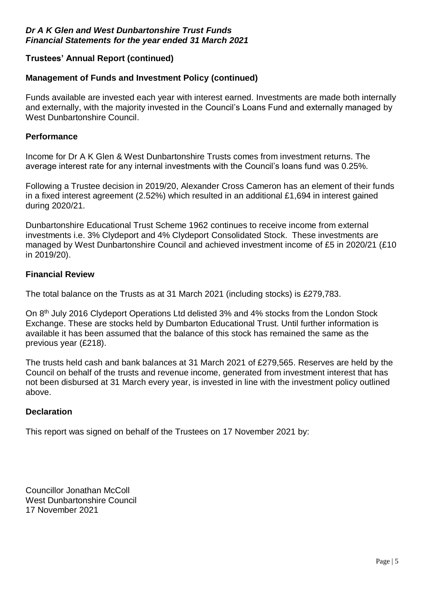# **Trustees' Annual Report (continued)**

#### **Management of Funds and Investment Policy (continued)**

Funds available are invested each year with interest earned. Investments are made both internally and externally, with the majority invested in the Council's Loans Fund and externally managed by West Dunbartonshire Council.

#### **Performance**

Income for Dr A K Glen & West Dunbartonshire Trusts comes from investment returns. The average interest rate for any internal investments with the Council's loans fund was 0.25%.

Following a Trustee decision in 2019/20, Alexander Cross Cameron has an element of their funds in a fixed interest agreement (2.52%) which resulted in an additional £1,694 in interest gained during 2020/21.

Dunbartonshire Educational Trust Scheme 1962 continues to receive income from external investments i.e. 3% Clydeport and 4% Clydeport Consolidated Stock. These investments are managed by West Dunbartonshire Council and achieved investment income of £5 in 2020/21 (£10 in 2019/20).

#### **Financial Review**

The total balance on the Trusts as at 31 March 2021 (including stocks) is £279,783.

On 8<sup>th</sup> July 2016 Clydeport Operations Ltd delisted 3% and 4% stocks from the London Stock Exchange. These are stocks held by Dumbarton Educational Trust. Until further information is available it has been assumed that the balance of this stock has remained the same as the previous year (£218).

The trusts held cash and bank balances at 31 March 2021 of £279,565. Reserves are held by the Council on behalf of the trusts and revenue income, generated from investment interest that has not been disbursed at 31 March every year, is invested in line with the investment policy outlined above.

#### **Declaration**

This report was signed on behalf of the Trustees on 17 November 2021 by:

Councillor Jonathan McColl West Dunbartonshire Council 17 November 2021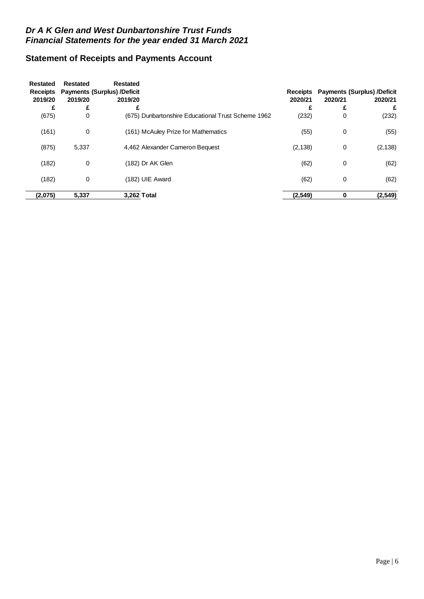# **Statement of Receipts and Payments Account**

| Restated        | <b>Restated</b> | <b>Restated</b>                    |                                                    |                 |         |                                    |
|-----------------|-----------------|------------------------------------|----------------------------------------------------|-----------------|---------|------------------------------------|
| <b>Receipts</b> |                 | <b>Payments (Surplus) /Deficit</b> |                                                    | <b>Receipts</b> |         | <b>Payments (Surplus) /Deficit</b> |
| 2019/20         | 2019/20         | 2019/20                            |                                                    | 2020/21         | 2020/21 | 2020/21                            |
| £               | £               | £                                  |                                                    | £               | £       | £                                  |
| (675)           | 0               |                                    | (675) Dunbartonshire Educational Trust Scheme 1962 | (232)           | 0       | (232)                              |
| (161)           | 0               |                                    | (161) McAuley Prize for Mathematics                | (55)            | 0       | (55)                               |
| (875)           | 5,337           |                                    | 4,462 Alexander Cameron Bequest                    | (2, 138)        | 0       | (2, 138)                           |
| (182)           | 0               |                                    | (182) Dr AK Glen                                   | (62)            | 0       | (62)                               |
| (182)           | 0               |                                    | (182) UIE Award                                    | (62)            | 0       | (62)                               |
| (2,075)         | 5,337           |                                    | 3.262 Total                                        | (2,549)         | 0       | (2, 549)                           |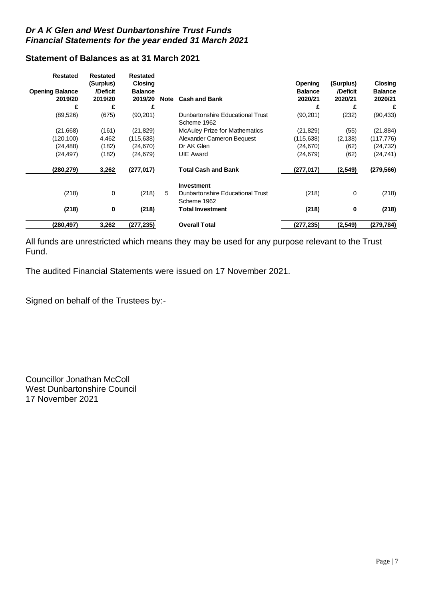# **Statement of Balances as at 31 March 2021**

| <b>Restated</b>        | <b>Restated</b><br>(Surplus) | <b>Restated</b><br><b>Closing</b> |             |                                                 | <b>Opening</b> | (Surplus) | Closing        |
|------------------------|------------------------------|-----------------------------------|-------------|-------------------------------------------------|----------------|-----------|----------------|
| <b>Opening Balance</b> | /Deficit                     | <b>Balance</b>                    |             |                                                 | <b>Balance</b> | /Deficit  | <b>Balance</b> |
| 2019/20                | 2019/20                      | 2019/20                           | <b>Note</b> | <b>Cash and Bank</b>                            | 2020/21        | 2020/21   | 2020/21        |
| £                      | £                            | £                                 |             |                                                 | £              | £         | £              |
| (89, 526)              | (675)                        | (90, 201)                         |             | Dunbartonshire Educational Trust<br>Scheme 1962 | (90, 201)      | (232)     | (90, 433)      |
| (21,668)               | (161)                        | (21, 829)                         |             | <b>McAuley Prize for Mathematics</b>            | (21, 829)      | (55)      | (21, 884)      |
| (120,100)              | 4,462                        | (115, 638)                        |             | Alexander Cameron Bequest                       | (115, 638)     | (2, 138)  | (117, 776)     |
| (24, 488)              | (182)                        | (24, 670)                         |             | Dr AK Glen                                      | (24,670)       | (62)      | (24, 732)      |
| (24,497)               | (182)                        | (24, 679)                         |             | <b>UIE Award</b>                                | (24,679)       | (62)      | (24, 741)      |
| (280,279)              | 3,262                        | (277, 017)                        |             | <b>Total Cash and Bank</b>                      | (277,017)      | (2, 549)  | (279, 566)     |
|                        |                              |                                   |             | <b>Investment</b>                               |                |           |                |
| (218)                  | 0                            | (218)                             | 5           | Dunbartonshire Educational Trust<br>Scheme 1962 | (218)          | 0         | (218)          |
| (218)                  | 0                            | (218)                             |             | <b>Total Investment</b>                         | (218)          | 0         | (218)          |
| (280,497)              | 3,262                        | (277, 235)                        |             | <b>Overall Total</b>                            | (277,235)      | (2,549)   | (279,784)      |

All funds are unrestricted which means they may be used for any purpose relevant to the Trust Fund.

The audited Financial Statements were issued on 17 November 2021.

Signed on behalf of the Trustees by:-

Councillor Jonathan McColl West Dunbartonshire Council 17 November 2021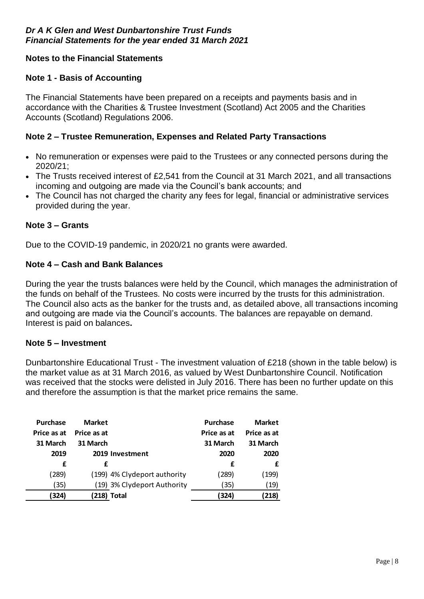# **Notes to the Financial Statements**

# **Note 1 - Basis of Accounting**

The Financial Statements have been prepared on a receipts and payments basis and in accordance with the Charities & Trustee Investment (Scotland) Act 2005 and the Charities Accounts (Scotland) Regulations 2006.

# **Note 2 – Trustee Remuneration, Expenses and Related Party Transactions**

- No remuneration or expenses were paid to the Trustees or any connected persons during the 2020/21;
- The Trusts received interest of £2,541 from the Council at 31 March 2021, and all transactions incoming and outgoing are made via the Council's bank accounts; and
- The Council has not charged the charity any fees for legal, financial or administrative services provided during the year.

# **Note 3 – Grants**

Due to the COVID-19 pandemic, in 2020/21 no grants were awarded.

# **Note 4 – Cash and Bank Balances**

During the year the trusts balances were held by the Council, which manages the administration of the funds on behalf of the Trustees. No costs were incurred by the trusts for this administration. The Council also acts as the banker for the trusts and, as detailed above, all transactions incoming and outgoing are made via the Council's accounts. The balances are repayable on demand. Interest is paid on balances**.**

#### **Note 5 – Investment**

Dunbartonshire Educational Trust - The investment valuation of £218 (shown in the table below) is the market value as at 31 March 2016, as valued by West Dunbartonshire Council. Notification was received that the stocks were delisted in July 2016. There has been no further update on this and therefore the assumption is that the market price remains the same.

| <b>Purchase</b> | <b>Market</b> |                              | Purchase    | <b>Market</b> |
|-----------------|---------------|------------------------------|-------------|---------------|
| Price as at     | Price as at   |                              | Price as at | Price as at   |
| 31 March        | 31 March      |                              | 31 March    | 31 March      |
| 2019            |               | 2019 Investment              | 2020        | 2020          |
| f               |               |                              | f           |               |
| (289)           |               | (199) 4% Clydeport authority | (289)       | (199)         |
| 35)             |               | (19) 3% Clydeport Authority  | (35)        | (19)          |
| (324)           |               | (218) Total                  | (324)       | (218)         |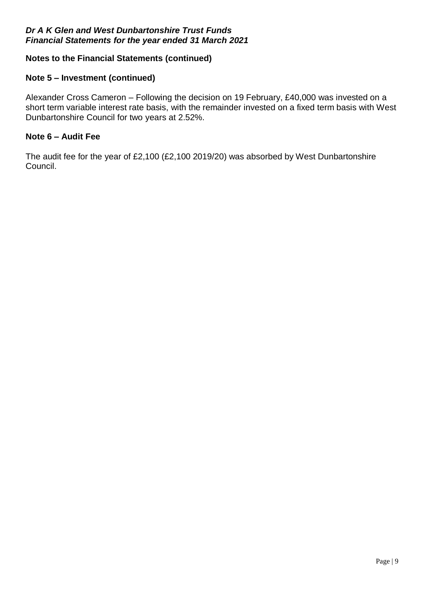# **Notes to the Financial Statements (continued)**

#### **Note 5 – Investment (continued)**

Alexander Cross Cameron – Following the decision on 19 February, £40,000 was invested on a short term variable interest rate basis, with the remainder invested on a fixed term basis with West Dunbartonshire Council for two years at 2.52%.

#### **Note 6 – Audit Fee**

The audit fee for the year of £2,100 (£2,100 2019/20) was absorbed by West Dunbartonshire Council.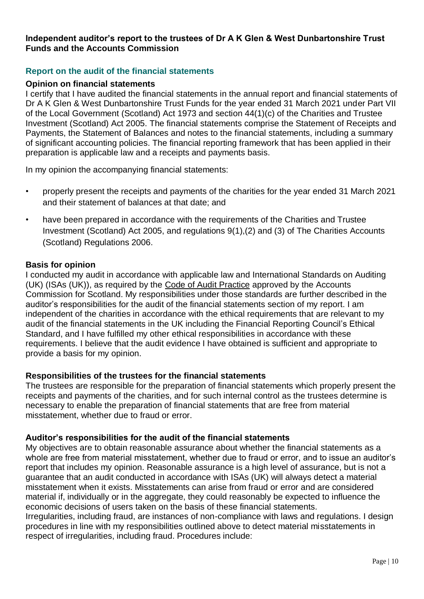#### **Independent auditor's report to the trustees of Dr A K Glen & West Dunbartonshire Trust Funds and the Accounts Commission**

#### **Report on the audit of the financial statements**

#### **Opinion on financial statements**

I certify that I have audited the financial statements in the annual report and financial statements of Dr A K Glen & West Dunbartonshire Trust Funds for the year ended 31 March 2021 under Part VII of the Local Government (Scotland) Act 1973 and section 44(1)(c) of the Charities and Trustee Investment (Scotland) Act 2005. The financial statements comprise the Statement of Receipts and Payments, the Statement of Balances and notes to the financial statements, including a summary of significant accounting policies. The financial reporting framework that has been applied in their preparation is applicable law and a receipts and payments basis.

In my opinion the accompanying financial statements:

- properly present the receipts and payments of the charities for the year ended 31 March 2021 and their statement of balances at that date; and
- have been prepared in accordance with the requirements of the Charities and Trustee Investment (Scotland) Act 2005, and regulations 9(1),(2) and (3) of The Charities Accounts (Scotland) Regulations 2006.

#### **Basis for opinion**

I conducted my audit in accordance with applicable law and International Standards on Auditing (UK) (ISAs (UK)), as required by the [Code of Audit Practice](http://www.audit-scotland.gov.uk/uploads/docs/report/2016/code_audit_practice_16.pdf) approved by the Accounts Commission for Scotland. My responsibilities under those standards are further described in the auditor's responsibilities for the audit of the financial statements section of my report. I am independent of the charities in accordance with the ethical requirements that are relevant to my audit of the financial statements in the UK including the Financial Reporting Council's Ethical Standard, and I have fulfilled my other ethical responsibilities in accordance with these requirements. I believe that the audit evidence I have obtained is sufficient and appropriate to provide a basis for my opinion.

#### **Responsibilities of the trustees for the financial statements**

The trustees are responsible for the preparation of financial statements which properly present the receipts and payments of the charities, and for such internal control as the trustees determine is necessary to enable the preparation of financial statements that are free from material misstatement, whether due to fraud or error.

#### **Auditor's responsibilities for the audit of the financial statements**

My objectives are to obtain reasonable assurance about whether the financial statements as a whole are free from material misstatement, whether due to fraud or error, and to issue an auditor's report that includes my opinion. Reasonable assurance is a high level of assurance, but is not a guarantee that an audit conducted in accordance with ISAs (UK) will always detect a material misstatement when it exists. Misstatements can arise from fraud or error and are considered material if, individually or in the aggregate, they could reasonably be expected to influence the economic decisions of users taken on the basis of these financial statements.

Irregularities, including fraud, are instances of non-compliance with laws and regulations. I design procedures in line with my responsibilities outlined above to detect material misstatements in respect of irregularities, including fraud. Procedures include: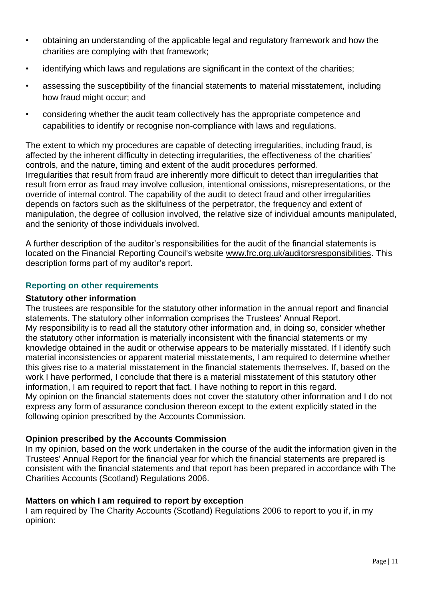- obtaining an understanding of the applicable legal and regulatory framework and how the charities are complying with that framework;
- identifying which laws and regulations are significant in the context of the charities;
- assessing the susceptibility of the financial statements to material misstatement, including how fraud might occur; and
- considering whether the audit team collectively has the appropriate competence and capabilities to identify or recognise non-compliance with laws and regulations.

The extent to which my procedures are capable of detecting irregularities, including fraud, is affected by the inherent difficulty in detecting irregularities, the effectiveness of the charities' controls, and the nature, timing and extent of the audit procedures performed. Irregularities that result from fraud are inherently more difficult to detect than irregularities that result from error as fraud may involve collusion, intentional omissions, misrepresentations, or the override of internal control. The capability of the audit to detect fraud and other irregularities depends on factors such as the skilfulness of the perpetrator, the frequency and extent of manipulation, the degree of collusion involved, the relative size of individual amounts manipulated, and the seniority of those individuals involved.

A further description of the auditor's responsibilities for the audit of the financial statements is located on the Financial Reporting Council's website [www.frc.org.uk/auditorsresponsibilities.](https://www.frc.org.uk/Our-Work/Audit-and-Actuarial-Regulation/Audit-and-assurance/Standards-and-guidance/Standards-and-guidance-for-auditors/Auditors-responsibilities-for-audit/Description-of-auditors-responsibilities-for-audit.aspx) This description forms part of my auditor's report.

# **Reporting on other requirements**

# **Statutory other information**

The trustees are responsible for the statutory other information in the annual report and financial statements. The statutory other information comprises the Trustees' Annual Report. My responsibility is to read all the statutory other information and, in doing so, consider whether the statutory other information is materially inconsistent with the financial statements or my knowledge obtained in the audit or otherwise appears to be materially misstated. If I identify such material inconsistencies or apparent material misstatements, I am required to determine whether this gives rise to a material misstatement in the financial statements themselves. If, based on the work I have performed, I conclude that there is a material misstatement of this statutory other information, I am required to report that fact. I have nothing to report in this regard. My opinion on the financial statements does not cover the statutory other information and I do not express any form of assurance conclusion thereon except to the extent explicitly stated in the following opinion prescribed by the Accounts Commission.

# **Opinion prescribed by the Accounts Commission**

In my opinion, based on the work undertaken in the course of the audit the information given in the Trustees' Annual Report for the financial year for which the financial statements are prepared is consistent with the financial statements and that report has been prepared in accordance with The Charities Accounts (Scotland) Regulations 2006.

# **Matters on which I am required to report by exception**

I am required by The Charity Accounts (Scotland) Regulations 2006 to report to you if, in my opinion: